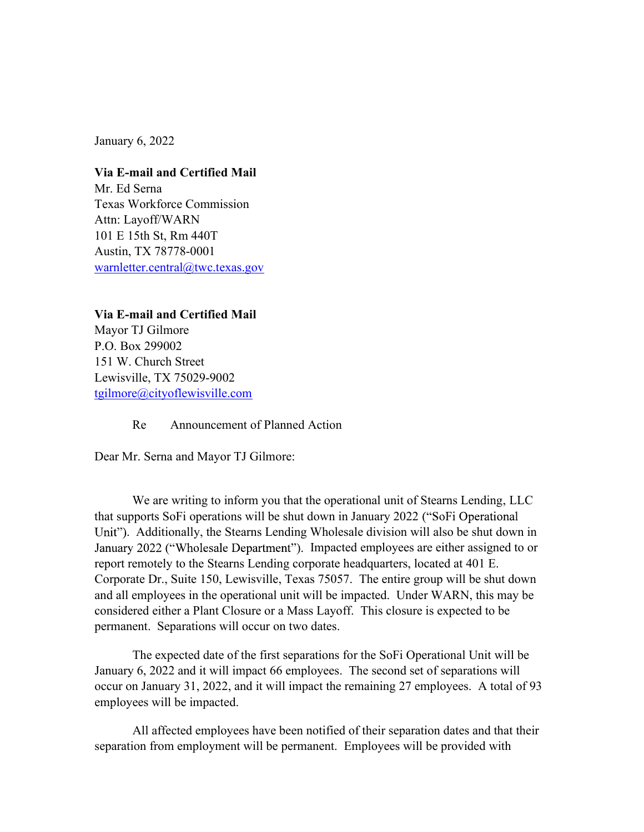January 6, 2022

Via E-mail and Certified Mail Mr. Ed Serna Texas Workforce Commission Attn: Layoff/WARN 101 E 15th St, Rm 440T Austin, TX 78778-0001 warnletter.central@twc.texas.gov

Via E-mail and Certified Mail Mayor TJ Gilmore P.O. Box 299002 151 W. Church Street Lewisville, TX 75029-9002 tgilmore@cityoflewisville.com

Re Announcement of Planned Action

Dear Mr. Serna and Mayor TJ Gilmore:

We are writing to inform you that the operational unit of Stearns Lending, LLC that supports SoFi operations will be shut down in January 2022 . Additionally, the Stearns Lending Wholesale division will also be shut down in January 2022 ("Wholesale Department"). Impacted employees are either assigned to or report remotely to the Stearns Lending corporate headquarters, located at 401 E. Corporate Dr., Suite 150, Lewisville, Texas 75057. The entire group will be shut down and all employees in the operational unit will be impacted. Under WARN, this may be considered either a Plant Closure or a Mass Layoff. This closure is expected to be permanent. Separations will occur on two dates.

The expected date of the first separations for the SoFi Operational Unit will be January 6, 2022 and it will impact 66 employees. The second set of separations will occur on January 31, 2022, and it will impact the remaining 27 employees. A total of 93 employees will be impacted.

All affected employees have been notified of their separation dates and that their separation from employment will be permanent. Employees will be provided with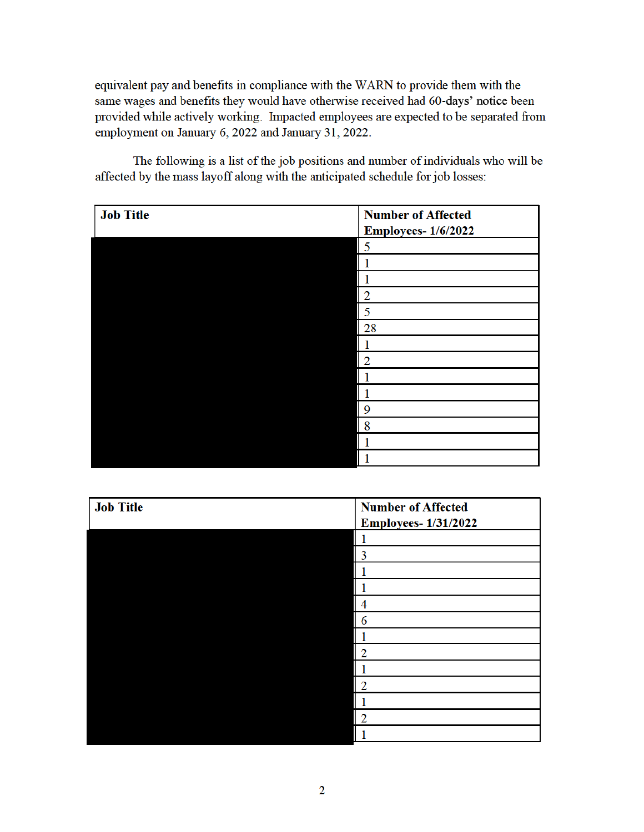equivalent pay and benefits in compliance with the WARN to provide them with the same wages and benefits they would have otherwise received had 60-days' notice been provided while actively working. Impacted employees are expected to be separated from employment on January 6, 2022 and January 31, 2022.

| <b>Job Title</b> | <b>Number of Affected</b><br><b>Employees-1/6/2022</b> |
|------------------|--------------------------------------------------------|
|                  | 5                                                      |
|                  |                                                        |
|                  |                                                        |
|                  | $\overline{2}$                                         |
|                  | 5                                                      |
|                  | 28                                                     |
|                  |                                                        |
|                  | 2                                                      |
|                  |                                                        |
|                  |                                                        |
|                  | 9                                                      |
|                  | 8                                                      |
|                  |                                                        |
|                  |                                                        |

The following is a list of the job positions and number of individuals who will be affected by the mass layoff along with the anticipated schedule for job losses:

| <b>Job Title</b> | <b>Number of Affected</b>  |
|------------------|----------------------------|
|                  | <b>Employees-1/31/2022</b> |
|                  |                            |
|                  | 3                          |
|                  |                            |
|                  |                            |
|                  |                            |
|                  | 6                          |
|                  |                            |
|                  | 2                          |
|                  |                            |
|                  | 2                          |
|                  |                            |
|                  | $\overline{2}$             |
|                  |                            |